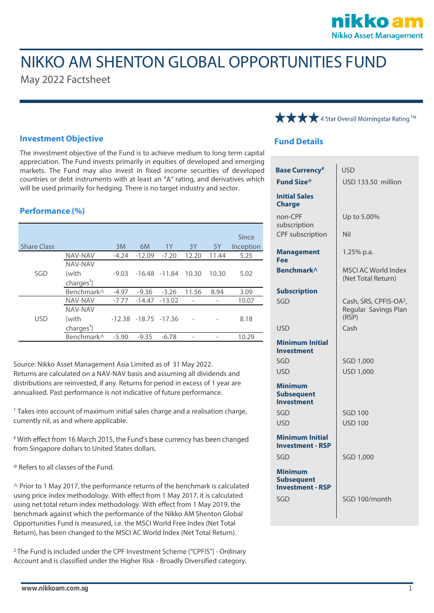## nikko am **Nikko Asset Management**

# NIKKO AM SHENTON GLOBAL OPPORTUNITIES FUND

May 2022 Factsheet

### **Investment Objective**

The investment objective of the Fund is to achieve medium to long term capital appreciation. The Fund invests primarily in equities of developed and emerging markets. The Fund may also invest in fixed income securities of developed countries or debt instruments with at least an "A" rating, and derivatives which will be used primarily for hedging. There is no target industry and sector.

### **Performance (%)**

| <b>Share Class</b> |                                            | 3M      | 6M                       | 1Y                | 3Y    | 5Y    | Since<br>Inception |
|--------------------|--------------------------------------------|---------|--------------------------|-------------------|-------|-------|--------------------|
| SGD                | NAV-NAV                                    | $-4.24$ | $-12.09$                 | $-7.20$           | 12.20 | 11.44 | 5.25               |
|                    | NAV-NAV<br>(with<br>charges <sup>1</sup> ) | $-9.03$ |                          | $-16.48$ $-11.84$ | 10.30 | 10.30 | 5.02               |
|                    | Benchmark <sup>^</sup>                     | $-4.97$ | $-9.36$                  | $-3.26$           | 11.56 | 8.94  | 3.09               |
|                    | NAV-NAV                                    | $-7.77$ | $-14.47$                 | $-13.02$          |       |       | 10.07              |
| <b>USD</b>         | NAV-NAV<br>(with<br>charges <sup>1</sup> ) |         | $-12.38 - 18.75 - 17.36$ |                   |       |       | 8.18               |
|                    | Benchmark <sup>^</sup>                     | $-5.90$ | $-9.35$                  | $-6.78$           |       |       | 10.29              |

Source: Nikko Asset Management Asia Limited as of 31 May 2022. Returns are calculated on a NAV-NAV basis and assuming all dividends and distributions are reinvested, if any. Returns for period in excess of 1 year are annualised. Past performance is not indicative of future performance.

<sup>1</sup> Takes into account of maximum initial sales charge and a realisation charge, currently nil, as and where applicable.

# With effect from 16 March 2015, the Fund's base currency has been changed from Singapore dollars to United States dollars.

@ Refers to all classes of the Fund.

 $\land$  Prior to 1 May 2017, the performance returns of the benchmark is calculated using price index methodology. With effect from 1 May 2017, it is calculated using net total return index methodology. With effect from 1 May 2019, the benchmark against which the performance of the Nikko AM Shenton Global Opportunities Fund is measured, i.e. the MSCI World Free Index (Net Total Return), has been changed to the MSCI AC World Index (Net Total Return).

<sup>2</sup> The Fund is included under the CPF Investment Scheme ("CPFIS") - Ordinary Account and is classified under the Higher Risk - Broadly Diversified category.



### **Fund Details**

| <b>Base Currency</b> #                                         | USD                                                                 |  |  |
|----------------------------------------------------------------|---------------------------------------------------------------------|--|--|
| <b>Fund Size®</b>                                              | USD 133.50 million                                                  |  |  |
| <b>Initial Sales</b><br><b>Charge</b>                          |                                                                     |  |  |
| non-CPF<br>subscription                                        | Up to 5.00%                                                         |  |  |
| <b>CPF</b> subscription                                        | Nil                                                                 |  |  |
| <b>Management</b><br>Fee                                       | 1.25% p.a.                                                          |  |  |
| Benchmark^                                                     | <b>MSCI AC World Index</b><br>(Net Total Return)                    |  |  |
| <b>Subscription</b>                                            |                                                                     |  |  |
| SGD                                                            | Cash, SRS, CPFIS-OA <sup>2</sup> ,<br>Regular Savings Plan<br>(RSP) |  |  |
| <b>USD</b>                                                     | Cash                                                                |  |  |
|                                                                |                                                                     |  |  |
| <b>Minimum Initial</b><br><b>Investment</b>                    |                                                                     |  |  |
| SGD                                                            | SGD 1,000                                                           |  |  |
| <b>USD</b>                                                     | <b>USD 1,000</b>                                                    |  |  |
| <b>Minimum</b><br><b>Subsequent</b><br><b>Investment</b>       |                                                                     |  |  |
| SGD                                                            | <b>SGD 100</b>                                                      |  |  |
| <b>USD</b>                                                     | <b>USD 100</b>                                                      |  |  |
| <b>Minimum Initial</b><br><b>Investment - RSP</b>              |                                                                     |  |  |
| SGD                                                            | SGD 1,000                                                           |  |  |
| <b>Minimum</b><br><b>Subsequent</b><br><b>Investment - RSP</b> |                                                                     |  |  |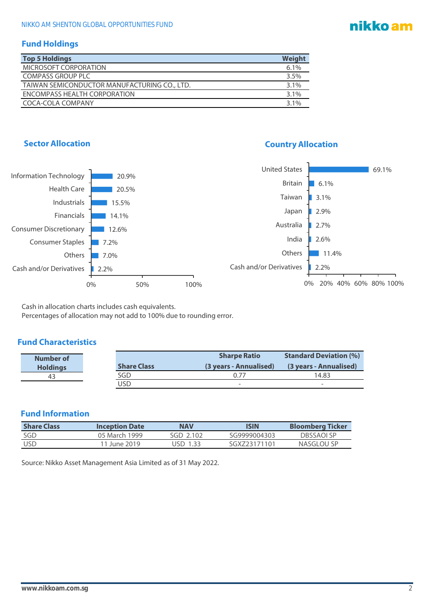# nikko am

### **Fund Holdings**

| <b>Top 5 Holdings</b>                        | Weight  |
|----------------------------------------------|---------|
| MICROSOFT CORPORATION                        | 6.1%    |
| <b>COMPASS GROUP PLC</b>                     | 3.5%    |
| TAIWAN SEMICONDUCTOR MANUFACTURING CO., LTD. | $3.1\%$ |
| ENCOMPASS HEALTH CORPORATION                 | 3.1%    |
| COCA-COLA COMPANY                            | $3.1\%$ |

### **Sector Allocation Country Allocation**



Cash in allocation charts includes cash equivalents. Percentages of allocation may not add to 100% due to rounding error.

### **Fund Characteristics**

| Number of       |                    | <b>Sharpe Ratio</b>      | <b>Standard Deviation (%)</b> |
|-----------------|--------------------|--------------------------|-------------------------------|
| <b>Holdings</b> | <b>Share Class</b> | (3 years - Annualised)   | (3 years - Annualised)        |
| 43              | SGD                | ገ 77                     | 14.83                         |
|                 | JSD                | $\overline{\phantom{a}}$ | ٠                             |

### **Fund Information**

| <b>Share Class</b> | <b>Inception Date</b> | <b>NAV</b> | ISIN         | <b>Bloomberg Ticker</b> |
|--------------------|-----------------------|------------|--------------|-------------------------|
| SGD                | 05 March 1999         | SGD 2.102  | SG9999004303 | DRSSAOI SP              |
| <b>USD</b>         | 11 June 2019          | JSD 1.33   | SGX723171101 | NASGLOU SP              |

Source: Nikko Asset Management Asia Limited as of 31 May 2022.